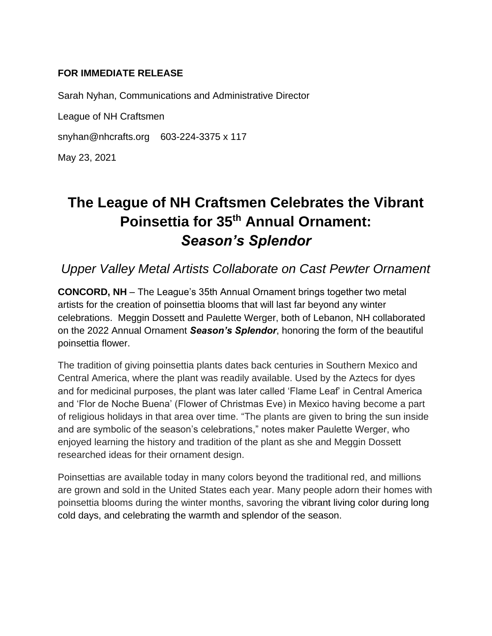### **FOR IMMEDIATE RELEASE**

Sarah Nyhan, Communications and Administrative Director

League of NH Craftsmen

snyhan@nhcrafts.org 603-224-3375 x 117

May 23, 2021

# **The League of NH Craftsmen Celebrates the Vibrant Poinsettia for 35th Annual Ornament:**  *Season's Splendor*

*Upper Valley Metal Artists Collaborate on Cast Pewter Ornament*

**CONCORD, NH** – The League's 35th Annual Ornament brings together two metal artists for the creation of poinsettia blooms that will last far beyond any winter celebrations. Meggin Dossett and Paulette Werger, both of Lebanon, NH collaborated on the 2022 Annual Ornament *Season's Splendor*, honoring the form of the beautiful poinsettia flower.

The tradition of giving poinsettia plants dates back centuries in Southern Mexico and Central America, where the plant was readily available. Used by the Aztecs for dyes and for medicinal purposes, the plant was later called 'Flame Leaf' in Central America and 'Flor de Noche Buena' (Flower of Christmas Eve) in Mexico having become a part of religious holidays in that area over time. "The plants are given to bring the sun inside and are symbolic of the season's celebrations," notes maker Paulette Werger, who enjoyed learning the history and tradition of the plant as she and Meggin Dossett researched ideas for their ornament design.

Poinsettias are available today in many colors beyond the traditional red, and millions are grown and sold in the United States each year. Many people adorn their homes with poinsettia blooms during the winter months, savoring the vibrant living color during long cold days, and celebrating the warmth and splendor of the season.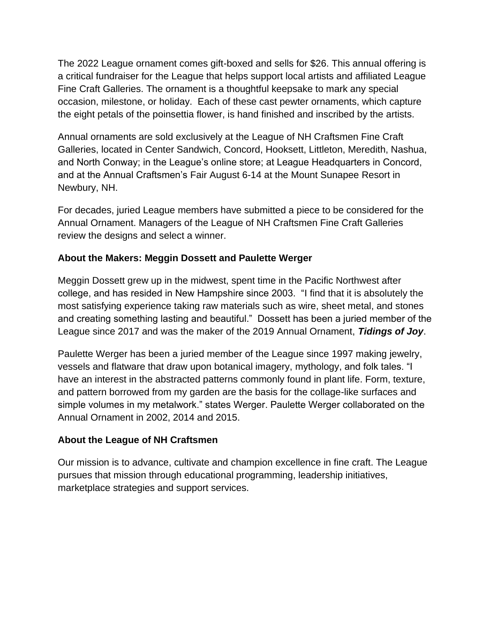The 2022 League ornament comes gift-boxed and sells for \$26. This annual offering is a critical fundraiser for the League that helps support local artists and affiliated League Fine Craft Galleries. The ornament is a thoughtful keepsake to mark any special occasion, milestone, or holiday. Each of these cast pewter ornaments, which capture the eight petals of the poinsettia flower, is hand finished and inscribed by the artists.

Annual ornaments are sold exclusively at the League of NH Craftsmen Fine Craft Galleries, located in Center Sandwich, Concord, Hooksett, Littleton, Meredith, Nashua, and North Conway; in the League's online store; at League Headquarters in Concord, and at the Annual Craftsmen's Fair August 6-14 at the Mount Sunapee Resort in Newbury, NH.

For decades, juried League members have submitted a piece to be considered for the Annual Ornament. Managers of the League of NH Craftsmen Fine Craft Galleries review the designs and select a winner.

## **About the Makers: Meggin Dossett and Paulette Werger**

Meggin Dossett grew up in the midwest, spent time in the Pacific Northwest after college, and has resided in New Hampshire since 2003. "I find that it is absolutely the most satisfying experience taking raw materials such as wire, sheet metal, and stones and creating something lasting and beautiful." Dossett has been a juried member of the League since 2017 and was the maker of the 2019 Annual Ornament, *Tidings of Joy*.

Paulette Werger has been a juried member of the League since 1997 making jewelry, vessels and flatware that draw upon botanical imagery, mythology, and folk tales. "I have an interest in the abstracted patterns commonly found in plant life. Form, texture, and pattern borrowed from my garden are the basis for the collage-like surfaces and simple volumes in my metalwork." states Werger. Paulette Werger collaborated on the Annual Ornament in 2002, 2014 and 2015.

## **About the League of NH Craftsmen**

Our mission is to advance, cultivate and champion excellence in fine craft. The League pursues that mission through educational programming, leadership initiatives, marketplace strategies and support services.